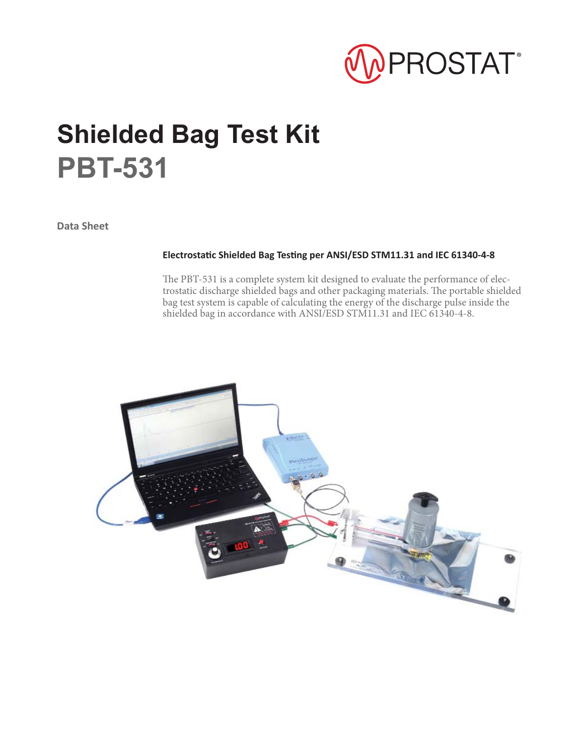

# **Shielded Bag Test Kit PBT-531**

**Data Sheet**

#### **ElectrostaƟ c Shielded Bag TesƟ ng per ANSI/ESD STM11.31 and IEC 61340-4-8**

The PBT-531 is a complete system kit designed to evaluate the performance of electrostatic discharge shielded bags and other packaging materials. The portable shielded bag test system is capable of calculating the energy of the discharge pulse inside the shielded bag in accordance with ANSI/ESD STM11.31 and IEC 61340-4-8.